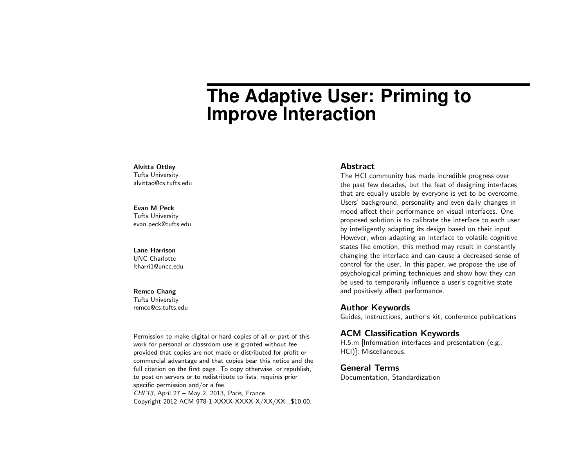# **The Adaptive User: Priming to Improve Interaction**

#### Alvitta Ottley

Tufts University alvittao@cs.tufts.edu

## Evan M Peck

Tufts University evan.peck@tufts.edu

#### Lane Harrison

UNC Charlotte ltharri1@uncc.edu

#### Remco Chang

Tufts University remco@cs.tufts.edu

Permission to make digital or hard copies of all or part of this work for personal or classroom use is granted without fee provided that copies are not made or distributed for profit or commercial advantage and that copies bear this notice and the full citation on the first page. To copy otherwise, or republish, to post on servers or to redistribute to lists, requires prior specific permission and/or a fee. CHI'13, April 27 – May 2, 2013, Paris, France. Copyright 2012 ACM 978-1-XXXX-XXXX-X/XX/XX...\$10.00.

# Abstract

The HCI community has made incredible progress over the past few decades, but the feat of designing interfaces that are equally usable by everyone is yet to be overcome. Users' background, personality and even daily changes in mood affect their performance on visual interfaces. One proposed solution is to calibrate the interface to each user by intelligently adapting its design based on their input. However, when adapting an interface to volatile cognitive states like emotion, this method may result in constantly changing the interface and can cause a decreased sense of control for the user. In this paper, we propose the use of psychological priming techniques and show how they can be used to temporarily influence a user's cognitive state and positively affect performance.

## Author Keywords

Guides, instructions, author's kit, conference publications

# ACM Classification Keywords

H.5.m [Information interfaces and presentation (e.g., HCI)]: Miscellaneous.

General Terms Documentation, Standardization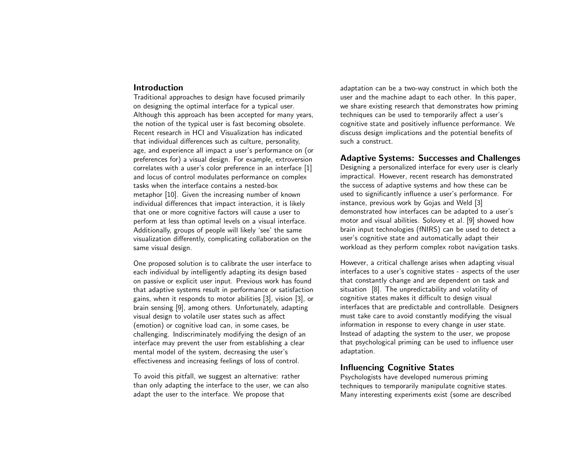# Introduction

Traditional approaches to design have focused primarily on designing the optimal interface for a typical user. Although this approach has been accepted for many years, the notion of the typical user is fast becoming obsolete. Recent research in HCI and Visualization has indicated that individual differences such as culture, personality, age, and experience all impact a user's performance on (or preferences for) a visual design. For example, extroversion correlates with a user's color preference in an interface [\[1\]](#page-3-0) and locus of control modulates performance on complex tasks when the interface contains a nested-box metaphor [\[10\]](#page-3-1). Given the increasing number of known individual differences that impact interaction, it is likely that one or more cognitive factors will cause a user to perform at less than optimal levels on a visual interface. Additionally, groups of people will likely 'see' the same visualization differently, complicating collaboration on the same visual design.

One proposed solution is to calibrate the user interface to each individual by intelligently adapting its design based on passive or explicit user input. Previous work has found that adaptive systems result in performance or satisfaction gains, when it responds to motor abilities [\[3\]](#page-3-2), vision [\[3\]](#page-3-2), or brain sensing [\[9\]](#page-3-3), among others. Unfortunately, adapting visual design to volatile user states such as affect (emotion) or cognitive load can, in some cases, be challenging. Indiscriminately modifying the design of an interface may prevent the user from establishing a clear mental model of the system, decreasing the user's effectiveness and increasing feelings of loss of control.

To avoid this pitfall, we suggest an alternative: rather than only adapting the interface to the user, we can also adapt the user to the interface. We propose that

adaptation can be a two-way construct in which both the user and the machine adapt to each other. In this paper, we share existing research that demonstrates how priming techniques can be used to temporarily affect a user's cognitive state and positively influence performance. We discuss design implications and the potential benefits of such a construct.

# Adaptive Systems: Successes and Challenges

Designing a personalized interface for every user is clearly impractical. However, recent research has demonstrated the success of adaptive systems and how these can be used to significantly influence a user's performance. For instance, previous work by Gojas and Weld [\[3\]](#page-3-2) demonstrated how interfaces can be adapted to a user's motor and visual abilities. Solovey et al. [\[9\]](#page-3-3) showed how brain input technologies (fNIRS) can be used to detect a user's cognitive state and automatically adapt their workload as they perform complex robot navigation tasks.

However, a critical challenge arises when adapting visual interfaces to a user's cognitive states - aspects of the user that constantly change and are dependent on task and situation [\[8\]](#page-3-4). The unpredictability and volatility of cognitive states makes it difficult to design visual interfaces that are predictable and controllable. Designers must take care to avoid constantly modifying the visual information in response to every change in user state. Instead of adapting the system to the user, we propose that psychological priming can be used to influence user adaptation.

# Influencing Cognitive States

Psychologists have developed numerous priming techniques to temporarily manipulate cognitive states. Many interesting experiments exist (some are described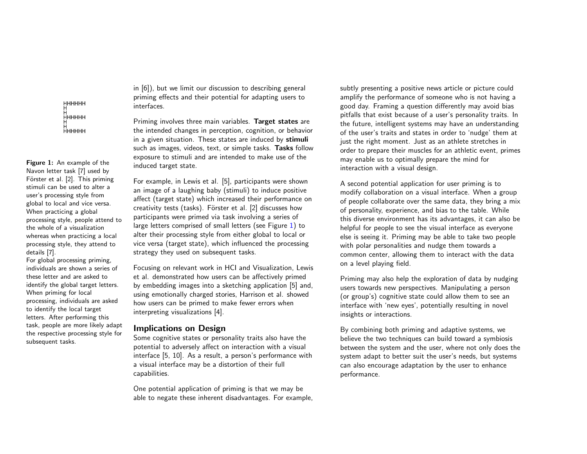нннннн ннннн ннннн

<span id="page-2-0"></span>Figure 1: An example of the Navon letter task [\[7\]](#page-3-6) used by Förster et al. [\[2\]](#page-3-7). This priming stimuli can be used to alter a user's processing style from global to local and vice versa. When practicing a global processing style, people attend to the whole of a visualization whereas when practicing a local processing style, they attend to details [\[7\]](#page-3-6).

For global processing priming, individuals are shown a series of these letter and are asked to identify the global target letters. When priming for local processing, individuals are asked to identify the local target letters. After performing this task, people are more likely adapt the respective processing style for subsequent tasks.

in [\[6\]](#page-3-5)), but we limit our discussion to describing general priming effects and their potential for adapting users to interfaces.

Priming involves three main variables. Target states are the intended changes in perception, cognition, or behavior in a given situation. These states are induced by stimuli such as images, videos, text, or simple tasks. Tasks follow exposure to stimuli and are intended to make use of the induced target state.

For example, in Lewis et al. [\[5\]](#page-3-8), participants were shown an image of a laughing baby (stimuli) to induce positive affect (target state) which increased their performance on creativity tests (tasks). Förster et al. [\[2\]](#page-3-7) discusses how participants were primed via task involving a series of large letters comprised of small letters (see Figure [1\)](#page-2-0) to alter their processing style from either global to local or vice versa (target state), which influenced the processing strategy they used on subsequent tasks.

Focusing on relevant work in HCI and Visualization, Lewis et al. demonstrated how users can be affectively primed by embedding images into a sketching application [\[5\]](#page-3-8) and, using emotionally charged stories, Harrison et al. showed how users can be primed to make fewer errors when interpreting visualizations [\[4\]](#page-3-9).

# Implications on Design

Some cognitive states or personality traits also have the potential to adversely affect on interaction with a visual interface [\[5,](#page-3-8) [10\]](#page-3-1). As a result, a person's performance with a visual interface may be a distortion of their full capabilities.

One potential application of priming is that we may be able to negate these inherent disadvantages. For example,

subtly presenting a positive news article or picture could amplify the performance of someone who is not having a good day. Framing a question differently may avoid bias pitfalls that exist because of a user's personality traits. In the future, intelligent systems may have an understanding of the user's traits and states in order to 'nudge' them at just the right moment. Just as an athlete stretches in order to prepare their muscles for an athletic event, primes may enable us to optimally prepare the mind for interaction with a visual design.

A second potential application for user priming is to modify collaboration on a visual interface. When a group of people collaborate over the same data, they bring a mix of personality, experience, and bias to the table. While this diverse environment has its advantages, it can also be helpful for people to see the visual interface as everyone else is seeing it. Priming may be able to take two people with polar personalities and nudge them towards a common center, allowing them to interact with the data on a level playing field.

Priming may also help the exploration of data by nudging users towards new perspectives. Manipulating a person (or group's) cognitive state could allow them to see an interface with 'new eyes', potentially resulting in novel insights or interactions.

By combining both priming and adaptive systems, we believe the two techniques can build toward a symbiosis between the system and the user, where not only does the system adapt to better suit the user's needs, but systems can also encourage adaptation by the user to enhance performance.